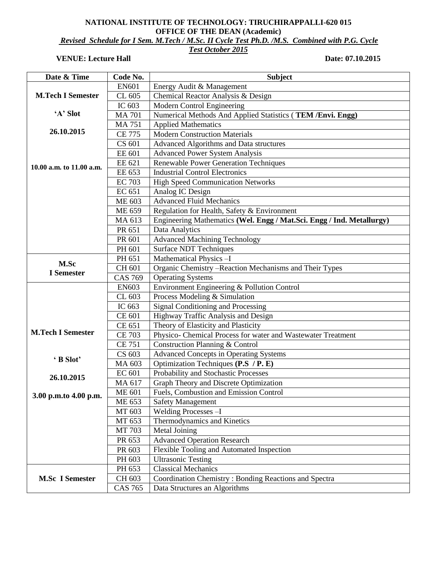## **NATIONAL INSTITUTE OF TECHNOLOGY: TIRUCHIRAPPALLI-620 015 OFFICE OF THE DEAN (Academic)** *Revised Schedule for I Sem. M.Tech / M.Sc. II Cycle Test Ph.D. /M.S. Combined with P.G. Cycle*

*Test October 2015*

## **VENUE:** Lecture Hall Date: 07.10.2015

| Date & Time               | Code No.       | <b>Subject</b>                                                        |
|---------------------------|----------------|-----------------------------------------------------------------------|
|                           | EN601          | Energy Audit & Management                                             |
| <b>M.Tech I Semester</b>  | CL 605         | Chemical Reactor Analysis & Design                                    |
|                           | IC 603         | Modern Control Engineering                                            |
| 'A' Slot                  | <b>MA 701</b>  | Numerical Methods And Applied Statistics (TEM /Envi. Engg)            |
|                           | <b>MA 751</b>  | <b>Applied Mathematics</b>                                            |
| 26.10.2015                | <b>CE 775</b>  | <b>Modern Construction Materials</b>                                  |
|                           | CS 601         | <b>Advanced Algorithms and Data structures</b>                        |
|                           | <b>EE 601</b>  | <b>Advanced Power System Analysis</b>                                 |
| 10.00 a.m. to 11.00 a.m.  | EE 621         | <b>Renewable Power Generation Techniques</b>                          |
|                           | EE 653         | <b>Industrial Control Electronics</b>                                 |
|                           | <b>EC 703</b>  | <b>High Speed Communication Networks</b>                              |
|                           | EC 651         | Analog IC Design                                                      |
|                           | <b>ME 603</b>  | <b>Advanced Fluid Mechanics</b>                                       |
|                           | ME 659         | Regulation for Health, Safety & Environment                           |
|                           | MA 613         | Engineering Mathematics (Wel. Engg / Mat.Sci. Engg / Ind. Metallurgy) |
|                           | PR 651         | <b>Data Analytics</b>                                                 |
|                           | PR 601         | <b>Advanced Machining Technology</b>                                  |
|                           | PH 601         | <b>Surface NDT Techniques</b>                                         |
|                           | PH 651         | Mathematical Physics-I                                                |
| M.Sc<br><b>I</b> Semester | CH 601         | Organic Chemistry - Reaction Mechanisms and Their Types               |
|                           | <b>CAS 769</b> | <b>Operating Systems</b>                                              |
|                           | <b>EN603</b>   | Environment Engineering & Pollution Control                           |
|                           | CL 603         | Process Modeling & Simulation                                         |
|                           | IC 663         | <b>Signal Conditioning and Processing</b>                             |
|                           | CE 601         | Highway Traffic Analysis and Design                                   |
|                           | CE 651         | Theory of Elasticity and Plasticity                                   |
| <b>M.Tech I Semester</b>  | <b>CE 703</b>  | Physico- Chemical Process for water and Wastewater Treatment          |
|                           | <b>CE 751</b>  | Construction Planning & Control                                       |
|                           | CS 603         | <b>Advanced Concepts in Operating Systems</b>                         |
| 'B Slot'                  | MA 603         | Optimization Techniques (P.S / P. E)                                  |
| 26.10.2015                | <b>EC 601</b>  | Probability and Stochastic Processes                                  |
|                           | MA 617         | Graph Theory and Discrete Optimization                                |
| 3.00 p.m.to 4.00 p.m.     | <b>ME 601</b>  | Fuels, Combustion and Emission Control                                |
|                           | ME 653         | <b>Safety Management</b>                                              |
|                           | MT 603         | Welding Processes - I                                                 |
|                           | MT 653         | Thermodynamics and Kinetics                                           |
|                           | MT 703         | Metal Joining                                                         |
|                           | PR 653         | <b>Advanced Operation Research</b>                                    |
|                           | PR 603         | Flexible Tooling and Automated Inspection                             |
|                           | PH 603         | <b>Ultrasonic Testing</b>                                             |
| <b>M.Sc I Semester</b>    | PH 653         | <b>Classical Mechanics</b>                                            |
|                           | CH 603         | Coordination Chemistry: Bonding Reactions and Spectra                 |
|                           | <b>CAS 765</b> | Data Structures an Algorithms                                         |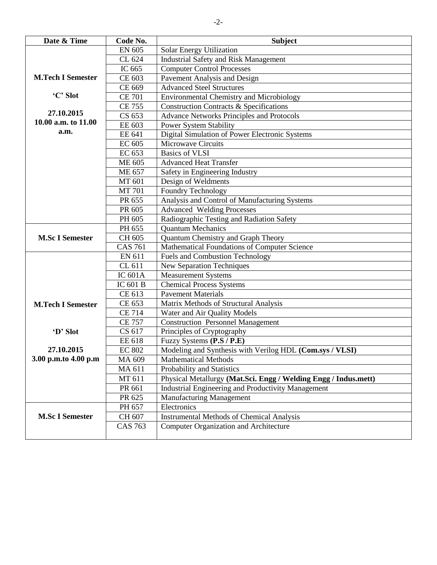| Date & Time              | Code No.       | <b>Subject</b>                                                  |
|--------------------------|----------------|-----------------------------------------------------------------|
|                          | <b>EN 605</b>  | Solar Energy Utilization                                        |
|                          | CL 624         | <b>Industrial Safety and Risk Management</b>                    |
|                          | IC 665         | <b>Computer Control Processes</b>                               |
| <b>M.Tech I Semester</b> | CE 603         | Pavement Analysis and Design                                    |
|                          | CE 669         | <b>Advanced Steel Structures</b>                                |
| 'C' Slot                 | <b>CE 701</b>  | <b>Environmental Chemistry and Microbiology</b>                 |
|                          | <b>CE 755</b>  | <b>Construction Contracts &amp; Specifications</b>              |
| 27.10.2015               | CS 653         | <b>Advance Networks Principles and Protocols</b>                |
| 10.00 a.m. to 11.00      | EE 603         | <b>Power System Stability</b>                                   |
| a.m.                     | EE 641         | Digital Simulation of Power Electronic Systems                  |
|                          | EC 605         | Microwave Circuits                                              |
|                          | EC 653         | <b>Basics of VLSI</b>                                           |
|                          | <b>ME 605</b>  | <b>Advanced Heat Transfer</b>                                   |
|                          | <b>ME 657</b>  | Safety in Engineering Industry                                  |
|                          | MT 601         | Design of Weldments                                             |
|                          | <b>MT 701</b>  | Foundry Technology                                              |
|                          | PR 655         | Analysis and Control of Manufacturing Systems                   |
|                          | PR 605         | <b>Advanced Welding Processes</b>                               |
|                          | PH 605         | Radiographic Testing and Radiation Safety                       |
|                          | PH 655         | <b>Quantum Mechanics</b>                                        |
| <b>M.Sc I Semester</b>   | CH 605         | Quantum Chemistry and Graph Theory                              |
|                          | <b>CAS 761</b> | Mathematical Foundations of Computer Science                    |
|                          | EN 611         | <b>Fuels and Combustion Technology</b>                          |
|                          | CL 611         | <b>New Separation Techniques</b>                                |
|                          | <b>IC 601A</b> | <b>Measurement Systems</b>                                      |
|                          | IC 601 B       | <b>Chemical Process Systems</b>                                 |
|                          | CE 613         | <b>Pavement Materials</b>                                       |
| <b>M.Tech I Semester</b> | CE 653         | Matrix Methods of Structural Analysis                           |
|                          | <b>CE 714</b>  | Water and Air Quality Models                                    |
|                          | <b>CE 757</b>  | <b>Construction Personnel Management</b>                        |
| 'D' Slot                 | CS 617         | Principles of Cryptography                                      |
|                          | EE 618         | Fuzzy Systems (P.S / P.E)                                       |
| 27.10.2015               | <b>EC 802</b>  | Modeling and Synthesis with Verilog HDL (Com.sys / VLSI)        |
| 3.00 p.m.to 4.00 p.m     | MA 609         | <b>Mathematical Methods</b>                                     |
|                          | MA 611         | Probability and Statistics                                      |
|                          | MT 611         | Physical Metallurgy (Mat.Sci. Engg / Welding Engg / Indus.mett) |
|                          | PR 661         | <b>Industrial Engineering and Productivity Management</b>       |
|                          | PR 625         | Manufacturing Management                                        |
|                          | PH 657         | Electronics                                                     |
| <b>M.Sc I Semester</b>   | CH 607         | <b>Instrumental Methods of Chemical Analysis</b>                |
|                          | <b>CAS 763</b> | <b>Computer Organization and Architecture</b>                   |
|                          |                |                                                                 |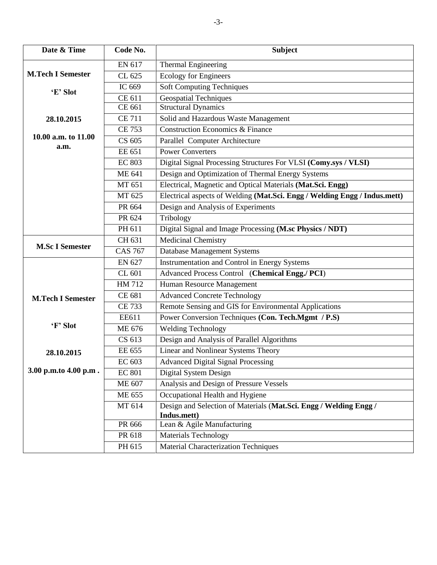| Date & Time              | Code No.       | <b>Subject</b>                                                            |
|--------------------------|----------------|---------------------------------------------------------------------------|
|                          | EN 617         | <b>Thermal Engineering</b>                                                |
| <b>M.Tech I Semester</b> | CL 625         | <b>Ecology for Engineers</b>                                              |
|                          | IC 669         | <b>Soft Computing Techniques</b>                                          |
| 'E' Slot                 | CE 611         | <b>Geospatial Techniques</b>                                              |
|                          | CE 661         | <b>Structural Dynamics</b>                                                |
| 28.10.2015               | <b>CE 711</b>  | Solid and Hazardous Waste Management                                      |
|                          | <b>CE 753</b>  | <b>Construction Economics &amp; Finance</b>                               |
| 10.00 a.m. to 11.00      | CS 605         | Parallel Computer Architecture                                            |
| a.m.                     | EE 651         | <b>Power Converters</b>                                                   |
|                          | <b>EC 803</b>  | Digital Signal Processing Structures For VLSI (Comy.sys / VLSI)           |
|                          | <b>ME 641</b>  | Design and Optimization of Thermal Energy Systems                         |
|                          | MT 651         | Electrical, Magnetic and Optical Materials (Mat.Sci. Engg)                |
|                          | MT 625         | Electrical aspects of Welding (Mat.Sci. Engg / Welding Engg / Indus.mett) |
|                          | PR 664         | Design and Analysis of Experiments                                        |
|                          | PR 624         | Tribology                                                                 |
|                          | PH 611         | Digital Signal and Image Processing (M.sc Physics / NDT)                  |
|                          | CH 631         | <b>Medicinal Chemistry</b>                                                |
| <b>M.Sc I Semester</b>   | <b>CAS 767</b> | <b>Database Management Systems</b>                                        |
|                          | EN 627         | Instrumentation and Control in Energy Systems                             |
|                          | CL 601         | Advanced Process Control (Chemical Engg./ PCI)                            |
|                          | HM 712         | Human Resource Management                                                 |
| <b>M.Tech I Semester</b> | CE 681         | <b>Advanced Concrete Technology</b>                                       |
|                          | <b>CE 733</b>  | Remote Sensing and GIS for Environmental Applications                     |
|                          | EE611          | Power Conversion Techniques (Con. Tech.Mgmt / P.S)                        |
| 'F' Slot                 | <b>ME 676</b>  | <b>Welding Technology</b>                                                 |
|                          | CS 613         | Design and Analysis of Parallel Algorithms                                |
| 28.10.2015               | EE 655         | Linear and Nonlinear Systems Theory                                       |
|                          | EC 603         | <b>Advanced Digital Signal Processing</b>                                 |
| 3.00 p.m.to 4.00 p.m.    | <b>EC 801</b>  | Digital System Design                                                     |
|                          | ME 607         | Analysis and Design of Pressure Vessels                                   |
|                          | ME 655         | Occupational Health and Hygiene                                           |
|                          | MT 614         | Design and Selection of Materials (Mat.Sci. Engg / Welding Engg /         |
|                          |                | Indus.mett)                                                               |
|                          | PR 666         | Lean & Agile Manufacturing                                                |
|                          | PR 618         | <b>Materials Technology</b>                                               |
|                          | PH 615         | <b>Material Characterization Techniques</b>                               |